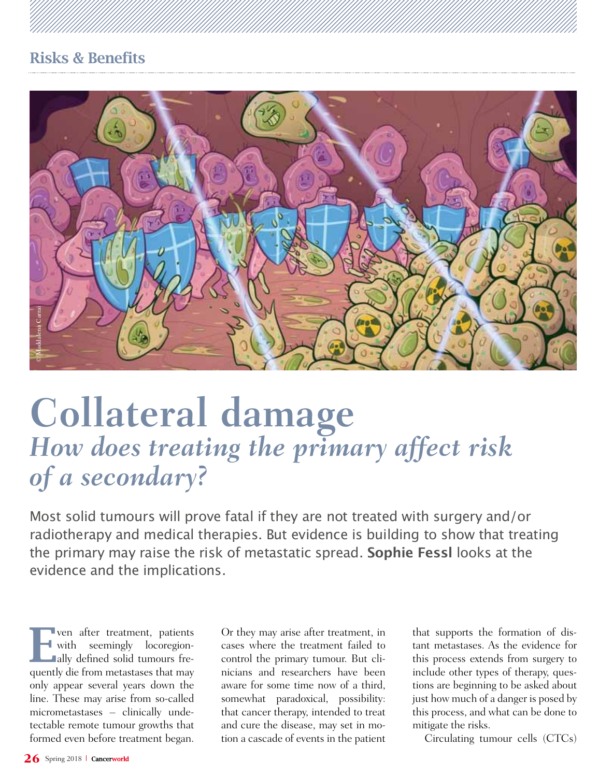# Risks & Benefits



# **Collateral damage** *How does treating the primary affect risk of a secondary?*

Most solid tumours will prove fatal if they are not treated with surgery and/or radiotherapy and medical therapies. But evidence is building to show that treating the primary may raise the risk of metastatic spread. **Sophie Fessl** looks at the evidence and the implications.

Extra Label of a<br>
26 Spring 2018<br>
26 Spring 2018<br>
26 Spring 2018<br>
26 Spring 2018<br>
2018<br>
2018<br>
2018<br>
2018<br>
2018<br>
2018<br>
2018<br>
2018<br>
2018<br>
2019<br>
2019<br>
2019<br>
2019<br>
2019<br>
2019<br>
2019<br>
2019<br>
2019<br>
2019<br>
2019<br>
2019<br>
2019<br>
2019<br>
20 The ven after treatment, patients<br>with seemingly locoregion-<br>ally defined solid tumours frewith seemingly locoregion**ally** defined solid tumours frequently die from metastases that may only appear several years down the line. These may arise from so-called micrometastases – clinically undetectable remote tumour growths that formed even before treatment began.

Or they may arise after treatment, in cases where the treatment failed to control the primary tumour. But clinicians and researchers have been aware for some time now of a third, somewhat paradoxical, possibility: that cancer therapy, intended to treat and cure the disease, may set in motion a cascade of events in the patient

that supports the formation of distant metastases. As the evidence for this process extends from surgery to include other types of therapy, questions are beginning to be asked about just how much of a danger is posed by this process, and what can be done to mitigate the risks.

Circulating tumour cells (CTCs)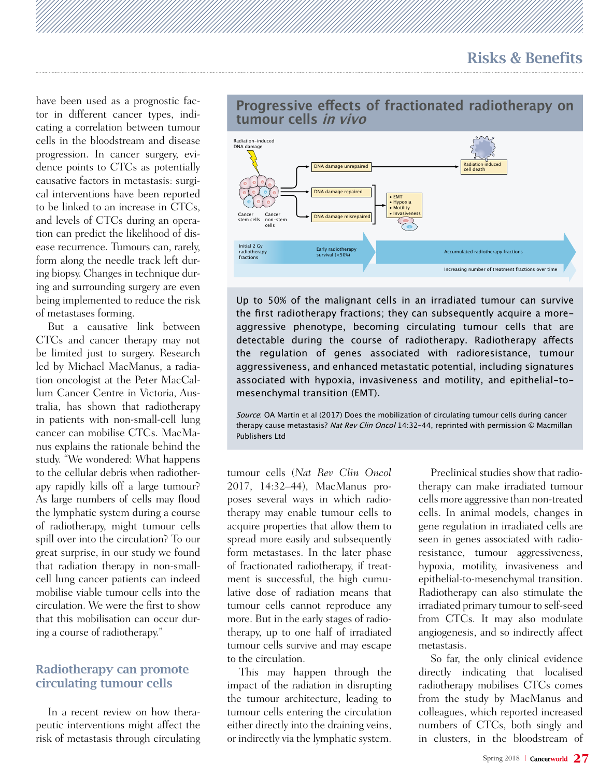Accumulated radiotherapy fractions

Increasing number of treatment fractions over time

have been used as a prognostic factor in different cancer types, indicating a correlation between tumour cells in the bloodstream and disease progression. In cancer surgery, evidence points to CTCs as potentially causative factors in metastasis: surgical interventions have been reported to be linked to an increase in CTCs, and levels of CTCs during an operation can predict the likelihood of disease recurrence. Tumours can, rarely, form along the needle track left during biopsy. Changes in technique during and surrounding surgery are even being implemented to reduce the risk of metastases forming.

But a causative link between CTCs and cancer therapy may not be limited just to surgery. Research led by Michael MacManus, a radiation oncologist at the Peter MacCallum Cancer Centre in Victoria, Australia, has shown that radiotherapy in patients with non-small-cell lung cancer can mobilise CTCs. MacManus explains the rationale behind the study. "We wondered: What happens to the cellular debris when radiotherapy rapidly kills off a large tumour? As large numbers of cells may flood the lymphatic system during a course of radiotherapy, might tumour cells spill over into the circulation? To our great surprise, in our study we found that radiation therapy in non-smallcell lung cancer patients can indeed mobilise viable tumour cells into the circulation. We were the first to show that this mobilisation can occur during a course of radiotherapy."

#### Radiotherapy can promote circulating tumour cells

In a recent review on how therapeutic interventions might affect the risk of metastasis through circulating



### **Progressive efects of fractionated radiotherapy on tumour cells in vivo**

Up to 50% of the malignant cells in an irradiated tumour can survive the frst radiotherapy fractions; they can subsequently acquire a moreaggressive phenotype, becoming circulating tumour cells that are detectable during the course of radiotherapy. Radiotherapy afects the regulation of genes associated with radioresistance, tumour aggressiveness, and enhanced metastatic potential, including signatures associated with hypoxia, invasiveness and motility, and epithelial-tomesenchymal transition (EMT).

Source: OA Martin et al (2017) Does the mobilization of circulating tumour cells during cancer therapy cause metastasis? Nat Rev Clin Oncol 14:32-44, reprinted with permission © Macmillan Publishers Ltd

tumour cells (*Nat Rev Clin Oncol*  2017, 14:32–44), MacManus proposes several ways in which radiotherapy may enable tumour cells to acquire properties that allow them to spread more easily and subsequently form metastases. In the later phase of fractionated radiotherapy, if treatment is successful, the high cumulative dose of radiation means that tumour cells cannot reproduce any more. But in the early stages of radiotherapy, up to one half of irradiated tumour cells survive and may escape to the circulation.

radiotherapy fractions

This may happen through the impact of the radiation in disrupting the tumour architecture, leading to tumour cells entering the circulation either directly into the draining veins, or indirectly via the lymphatic system.

Preclinical studies show that radiotherapy can make irradiated tumour cells more aggressive than non-treated cells. In animal models, changes in gene regulation in irradiated cells are seen in genes associated with radioresistance, tumour aggressiveness, hypoxia, motility, invasiveness and epithelial-to-mesenchymal transition. Radiotherapy can also stimulate the irradiated primary tumour to self-seed from CTCs. It may also modulate angiogenesis, and so indirectly affect metastasis.

So far, the only clinical evidence directly indicating that localised radiotherapy mobilises CTCs comes from the study by MacManus and colleagues, which reported increased numbers of CTCs, both singly and in clusters, in the bloodstream of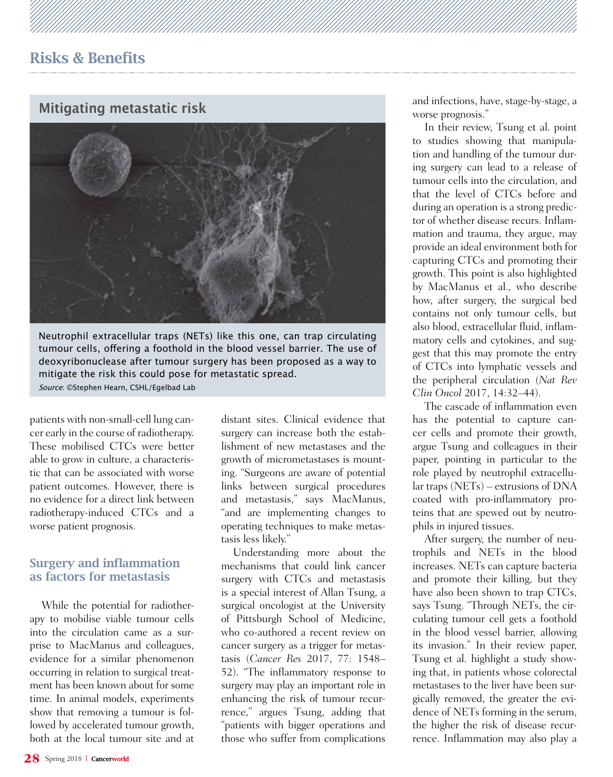# **Mitigating metastatic risk**



Neutrophil extracellular traps (NETs) like this one, can trap circulating tumour cells, offering a foothold in the blood vessel barrier. The use of deoxyribonuclease after tumour surgery has been proposed as a way to mitigate the risk this could pose for metastatic spread. Source: ©Stephen Hearn, CSHL/Egelbad Lab

patients with non-small-cell lung cancer early in the course of radiotherapy. These mobilised CTCs were better able to grow in culture, a characteristic that can be associated with worse patient outcomes. However, there is no evidence for a direct link between radiotherapy-induced CTCs and a worse patient prognosis.

#### Surgery and inflammation as factors for metastasis

While the potential for radiotherapy to mobilise viable tumour cells into the circulation came as a surprise to MacManus and colleagues, evidence for a similar phenomenon occurring in relation to surgical treatment has been known about for some time. In animal models, experiments show that removing a tumour is followed by accelerated tumour growth, both at the local tumour site and at

distant sites. Clinical evidence that surgery can increase both the establishment of new metastases and the growth of micrometastases is mounting. "Surgeons are aware of potential links between surgical procedures and metastasis," says MacManus, "and are implementing changes to operating techniques to make metastasis less likely."

Understanding more about the mechanisms that could link cancer surgery with CTCs and metastasis is a special interest of Allan Tsung, a surgical oncologist at the University of Pittsburgh School of Medicine, who co-authored a recent review on cancer surgery as a trigger for metastasis (*Cancer Res* 2017, 77: 1548– 52). "The inflammatory response to surgery may play an important role in enhancing the risk of tumour recurrence," argues Tsung, adding that "patients with bigger operations and those who suffer from complications

and infections, have, stage-by-stage, a worse prognosis."

In their review, Tsung et al. point to studies showing that manipulation and handling of the tumour during surgery can lead to a release of tumour cells into the circulation, and that the level of CTCs before and during an operation is a strong predictor of whether disease recurs. Inflammation and trauma, they argue, may provide an ideal environment both for capturing CTCs and promoting their growth. This point is also highlighted by MacManus et al., who describe how, after surgery, the surgical bed contains not only tumour cells, but also blood, extracellular fluid, inflammatory cells and cytokines, and suggest that this may promote the entry of CTCs into lymphatic vessels and the peripheral circulation (*Nat Rev Clin Oncol* 2017, 14:32–44).

The cascade of inflammation even has the potential to capture cancer cells and promote their growth, argue Tsung and colleagues in their paper, pointing in particular to the role played by neutrophil extracellular traps (NETs) – extrusions of DNA coated with pro-inflammatory proteins that are spewed out by neutrophils in injured tissues.

After surgery, the number of neutrophils and NETs in the blood increases. NETs can capture bacteria and promote their killing, but they have also been shown to trap CTCs, says Tsung. "Through NETs, the circulating tumour cell gets a foothold in the blood vessel barrier, allowing its invasion." In their review paper, Tsung et al. highlight a study showing that, in patients whose colorectal metastases to the liver have been surgically removed, the greater the evidence of NETs forming in the serum, the higher the risk of disease recurrence. Inflammation may also play a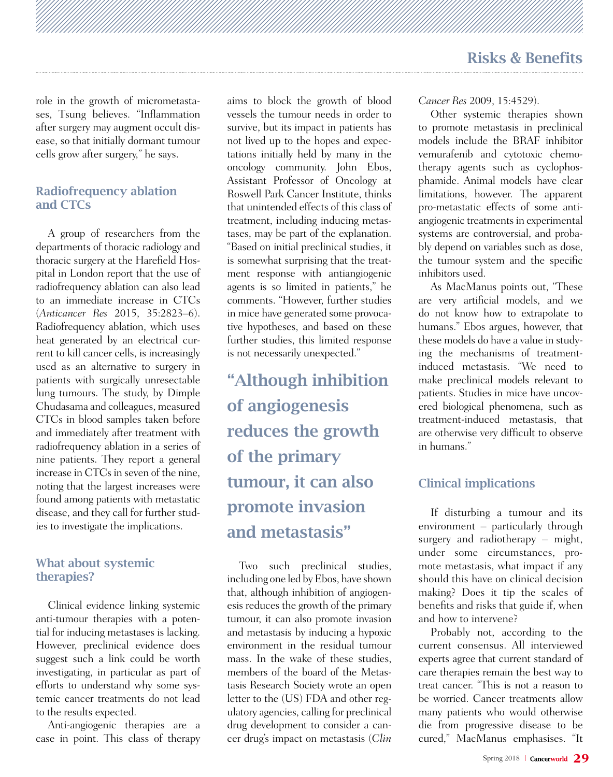role in the growth of micrometastases, Tsung believes. "Inflammation after surgery may augment occult disease, so that initially dormant tumour cells grow after surgery," he says.

#### Radiofrequency ablation and CTCs

A group of researchers from the departments of thoracic radiology and thoracic surgery at the Harefield Hospital in London report that the use of radiofrequency ablation can also lead to an immediate increase in CTCs (*Anticancer Res* 2015, 35:2823–6). Radiofrequency ablation, which uses heat generated by an electrical current to kill cancer cells, is increasingly used as an alternative to surgery in patients with surgically unresectable lung tumours. The study, by Dimple Chudasama and colleagues, measured CTCs in blood samples taken before and immediately after treatment with radiofrequency ablation in a series of nine patients. They report a general increase in CTCs in seven of the nine, noting that the largest increases were found among patients with metastatic disease, and they call for further studies to investigate the implications.

#### What about systemic therapies?

Clinical evidence linking systemic anti-tumour therapies with a potential for inducing metastases is lacking. However, preclinical evidence does suggest such a link could be worth investigating, in particular as part of efforts to understand why some systemic cancer treatments do not lead to the results expected.

Anti-angiogenic therapies are a case in point. This class of therapy aims to block the growth of blood vessels the tumour needs in order to survive, but its impact in patients has not lived up to the hopes and expectations initially held by many in the oncology community. John Ebos, Assistant Professor of Oncology at Roswell Park Cancer Institute, thinks that unintended effects of this class of treatment, including inducing metastases, may be part of the explanation. "Based on initial preclinical studies, it is somewhat surprising that the treatment response with antiangiogenic agents is so limited in patients," he comments. "However, further studies in mice have generated some provocative hypotheses, and based on these further studies, this limited response is not necessarily unexpected."

"Although inhibition of angiogenesis reduces the growth of the primary tumour, it can also promote invasion and metastasis"

Two such preclinical studies, including one led by Ebos, have shown that, although inhibition of angiogenesis reduces the growth of the primary tumour, it can also promote invasion and metastasis by inducing a hypoxic environment in the residual tumour mass. In the wake of these studies members of the board of the Metastasis Research Society wrote an open letter to the (US) FDA and other regulatory agencies, calling for preclinical drug development to consider a cancer drug's impact on metastasis (*Clin* 

*Cancer Res* 2009, 15:4529).

Other systemic therapies shown to promote metastasis in preclinical models include the BRAF inhibitor vemurafenib and cytotoxic chemotherapy agents such as cyclophosphamide. Animal models have clear limitations, however. The apparent pro-metastatic effects of some antiangiogenic treatments in experimental systems are controversial, and probably depend on variables such as dose, the tumour system and the specific inhibitors used.

As MacManus points out, "These are very artificial models, and we do not know how to extrapolate to humans." Ebos argues, however, that these models do have a value in studying the mechanisms of treatmentinduced metastasis. "We need to make preclinical models relevant to patients. Studies in mice have uncovered biological phenomena, such as treatment-induced metastasis, that are otherwise very difficult to observe in humans."

## Clinical implications

If disturbing a tumour and its environment – particularly through surgery and radiotherapy – might, under some circumstances, promote metastasis, what impact if any should this have on clinical decision making? Does it tip the scales of benefits and risks that guide if, when and how to intervene?

Probably not, according to the current consensus. All interviewed experts agree that current standard of care therapies remain the best way to treat cancer. "This is not a reason to be worried. Cancer treatments allow many patients who would otherwise die from progressive disease to be cured," MacManus emphasises. "It